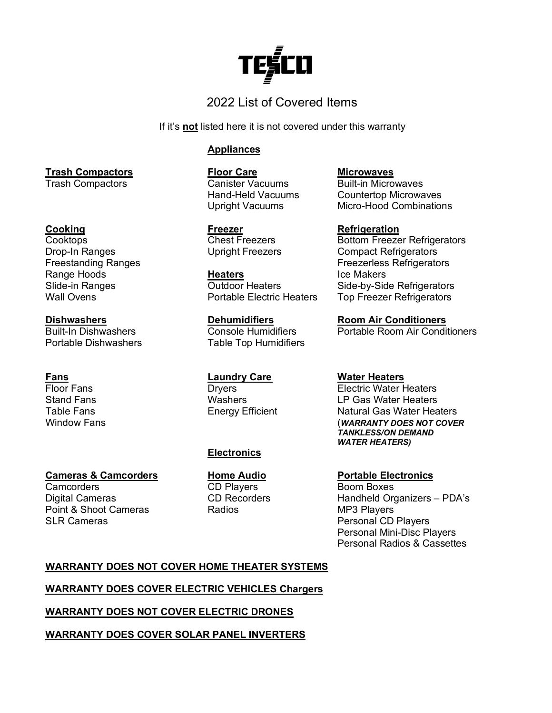## 2022 List of Covered Items

If it's **not** listed here it is not covered under this warranty

## **Appliances**

**Trash Compactors Floor Care Microwaves**

**Cooking Freezer Refrigeration**

Range Hoods **Heaters Heaters** Ice Makers<br>
Slide-in Ranges **Internal Slide-in Ranges** 

Portable Dishwashers Table Top Humidifiers

**Fans Example 2 Example 2 Example 2 Electric Vater Heaters**<br> **Electric Water Floor Fans Care Electric Water Heaters** 

## **Electronics**

Hand-Held Vacuums Countertop Microwaves Micro-Hood Combinations

- 
- Bottom Freezer Refrigerators Drop-In Ranges Upright Freezers Compact Refrigerators Freezerless Refrigerators Slide-in Ranges **Sultion Coutdoor Heaters** Side-by-Side Refrigerators<br>
Vall Ovens Communic Portable Electric Heaters Top Freezer Refrigerators Top Freezer Refrigerators

**Dishwashers Dehumidifiers Room Air Conditioners Console Humidifiers Portable Room Air Conditioners** 

Flectric Water Heaters Stand Fans Table 1 (Stand Fans 1) Washers Table 1 (Stand Fans 1) LP Gas Water Heaters<br>Table Fans Table Fans Table 1, Energy Efficient Table Table Table Theater Heater Heater Technics Table Fans **Energy Efficient** Natural Gas Water Heaters<br>Window Fans Mindow Fans **(WARRANTY DOES NOT COVER** *TANKLESS/ON DEMAND WATER HEATERS)*

Digital Cameras **CD Recorders** Handheld Organizers – PDA's SLR Cameras **Personal CD Players** Personal CD Players Personal Mini-Disc Players Personal Radios & Cassettes

## **WARRANTY DOES NOT COVER HOME THEATER SYSTEMS**

## **WARRANTY DOES COVER ELECTRIC VEHICLES Chargers**

## **WARRANTY DOES NOT COVER ELECTRIC DRONES**

**WARRANTY DOES COVER SOLAR PANEL INVERTERS**

Trash Compactors

**Cameras & Camcorders Home Audio Portable Electronics Camcorders CD Players** Boom Boxes Point & Shoot Cameras **Radios** Radios MP3 Players